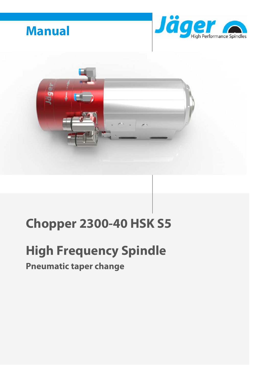





# **Chopper 2300-40 HSK S5**

# **High Frequency Spindle**

# **Pneumatic taper change**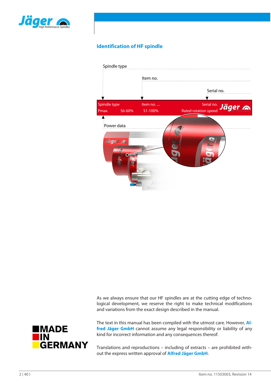

### **Identification of HF spindle**



As we always ensure that our HF spindles are at the cutting edge of technological development, we reserve the right to make technical modifications and variations from the exact design described in the manual.



The text in this manual has been compiled with the utmost care. However, **Alfred Jäger GmbH** cannot assume any legal responsibility or liability of any kind for incorrect information and any consequences thereof.

Translations and reproductions – including of extracts – are prohibited without the express written approval of **Alfred Jäger GmbH**.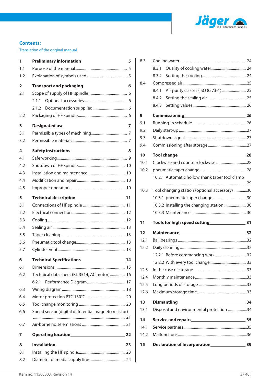

### **Contents:**

Translation of the original manual

| 1   | Preliminary information<br>5                                                                                                                                                                                                        |  |
|-----|-------------------------------------------------------------------------------------------------------------------------------------------------------------------------------------------------------------------------------------|--|
| 1.1 |                                                                                                                                                                                                                                     |  |
| 1.2 |                                                                                                                                                                                                                                     |  |
| 2   | Transport and packaging<br>Managing<br>Song Bandaran Dinaman Bandaran Dinaman Bandaran Dinaman Bandaran Bandaran Bandaran Bandaran Bandara<br>Song Bandaran Bandaran Bandaran Bandaran Bandaran Bandaran Bandaran Bandaran Bandaran |  |
| 2.1 |                                                                                                                                                                                                                                     |  |
|     | 2.1.1                                                                                                                                                                                                                               |  |
|     | 2.1.2                                                                                                                                                                                                                               |  |
| 2.2 |                                                                                                                                                                                                                                     |  |
| 3   |                                                                                                                                                                                                                                     |  |
| 3.1 |                                                                                                                                                                                                                                     |  |
| 3.2 |                                                                                                                                                                                                                                     |  |
| 4   |                                                                                                                                                                                                                                     |  |
| 4.1 |                                                                                                                                                                                                                                     |  |
| 4.2 |                                                                                                                                                                                                                                     |  |
| 4.3 |                                                                                                                                                                                                                                     |  |
| 4.4 |                                                                                                                                                                                                                                     |  |
| 4.5 |                                                                                                                                                                                                                                     |  |
| 5   |                                                                                                                                                                                                                                     |  |
| 5.1 |                                                                                                                                                                                                                                     |  |
| 5.2 |                                                                                                                                                                                                                                     |  |
| 5.3 |                                                                                                                                                                                                                                     |  |
| 5.4 |                                                                                                                                                                                                                                     |  |
| 5.5 |                                                                                                                                                                                                                                     |  |
| 5.6 |                                                                                                                                                                                                                                     |  |
| 5.7 |                                                                                                                                                                                                                                     |  |
| 6   | <b>Technical Specifications</b><br>14                                                                                                                                                                                               |  |
| 6.1 |                                                                                                                                                                                                                                     |  |
| 6.2 | Technical data sheet (KL 3514, AC motor)  16                                                                                                                                                                                        |  |
|     | 6.2.1                                                                                                                                                                                                                               |  |
| 6.3 |                                                                                                                                                                                                                                     |  |
| 6.4 |                                                                                                                                                                                                                                     |  |
| 6.5 |                                                                                                                                                                                                                                     |  |
| 6.6 | Speed sensor (digital differential magneto resistor)                                                                                                                                                                                |  |
| 6.7 |                                                                                                                                                                                                                                     |  |
| 7   |                                                                                                                                                                                                                                     |  |
| 8   |                                                                                                                                                                                                                                     |  |
| 8.1 |                                                                                                                                                                                                                                     |  |
| 8.2 |                                                                                                                                                                                                                                     |  |

| 8.3  |                                                                                              |    |
|------|----------------------------------------------------------------------------------------------|----|
|      | 8.3.1                                                                                        |    |
|      | 8.3.2                                                                                        |    |
| 8.4  |                                                                                              |    |
|      | Air purity classes (ISO 8573-1) 25<br>8.4.1                                                  |    |
|      | 8.4.2                                                                                        |    |
|      | 8.4.3                                                                                        |    |
| 9    | Commissioning 26                                                                             |    |
| 9.1  |                                                                                              |    |
| 9.2  |                                                                                              |    |
| 9.3  |                                                                                              |    |
| 9.4  |                                                                                              |    |
| 10   |                                                                                              |    |
| 10.1 |                                                                                              |    |
| 10.2 |                                                                                              |    |
|      | 10.2.1 Automatic hollow shank taper tool clamp                                               |    |
|      |                                                                                              |    |
| 10.3 | Tool changing station (optional accessory) 30                                                |    |
|      |                                                                                              |    |
|      | 10.3.2 Installing the changing station 30                                                    |    |
|      |                                                                                              |    |
| 11   |                                                                                              |    |
| 12   | Maintenance 132                                                                              |    |
| 12.1 |                                                                                              |    |
| 12.2 |                                                                                              |    |
|      | 12.2.1 Before commencing work 32                                                             |    |
|      |                                                                                              |    |
| 12.3 |                                                                                              |    |
| 12.4 |                                                                                              |    |
| 12.5 |                                                                                              |    |
| 12.6 |                                                                                              |    |
| 13   | <b>Dismantling</b>                                                                           | 34 |
| 13.1 | Disposal and environmental protection 34                                                     |    |
| 14   | Service and repairs<br><u>Service</u> and repairs service and repairs service <b>blue</b> 35 |    |
| 14.1 |                                                                                              |    |
| 14.2 |                                                                                              |    |
| 15   | Declaration of Incorporation<br><u>Lettiched</u>                                             | 39 |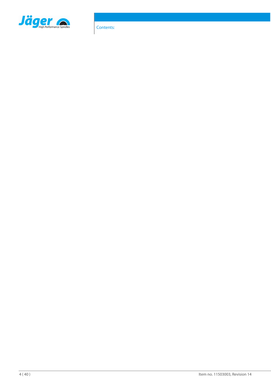

Contents: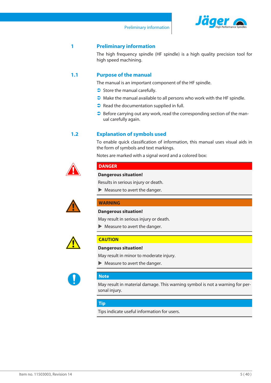

### **1 Preliminary information**

<span id="page-4-0"></span>The high frequency spindle (HF spindle) is a high quality precision tool for high speed machining.

### **1.1 Purpose of the manual**

<span id="page-4-1"></span>The manual is an important component of the HF spindle.

- $\supset$  Store the manual carefully.
- $\Box$  Make the manual available to all persons who work with the HF spindle.
- $\bullet$  Read the documentation supplied in full.
- $\supset$  Before carrying out any work, read the corresponding section of the manual carefully again.

### **1.2 Explanation of symbols used**

<span id="page-4-2"></span>To enable quick classification of information, this manual uses visual aids in the form of symbols and text markings.

Notes are marked with a signal word and a colored box:



### **DANGER**

### **Dangerous situation!**

Results in serious injury or death.

 $\blacktriangleright$  Measure to avert the danger.



### **WARNING**

### **Dangerous situation!**

May result in serious injury or death.

 $\blacktriangleright$  Measure to avert the danger.



### **CAUTION**

**Dangerous situation!**

May result in minor to moderate injury.

 $\blacktriangleright$  Measure to avert the danger.



### **Note**

May result in material damage. This warning symbol is not a warning for personal injury.

### **Tip**

Tips indicate useful information for users.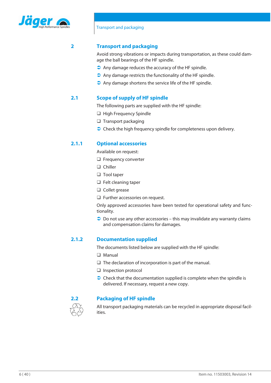

### **2 Transport and packaging**

<span id="page-5-0"></span>Avoid strong vibrations or impacts during transportation, as these could damage the ball bearings of the HF spindle.

- $\bullet$  Any damage reduces the accuracy of the HF spindle.
- $\supset$  Any damage restricts the functionality of the HF spindle.
- $\supset$  Any damage shortens the service life of the HF spindle.

### **2.1 Scope of supply of HF spindle**

<span id="page-5-1"></span>The following parts are supplied with the HF spindle:

- $\Box$  High Frequency Spindle
- $\Box$  Transport packaging
- $\supset$  Check the high frequency spindle for completeness upon delivery.

### **2.1.1 Optional accessories**

<span id="page-5-2"></span>Available on request:

- $\Box$  Frequency converter
- $\Box$  Chiller
- $\Box$  Tool taper
- $\Box$  Felt cleaning taper
- $\Box$  Collet grease
- $\Box$  Further accessories on request.

Only approved accessories have been tested for operational safety and functionality.

 $\supset$  Do not use any other accessories – this may invalidate any warranty claims and compensation claims for damages.

### **2.1.2 Documentation supplied**

<span id="page-5-3"></span>The documents listed below are supplied with the HF spindle:

- $\Box$  Manual
- $\Box$  The declaration of incorporation is part of the manual.
- $\Box$  Inspection protocol
- $\supset$  Check that the documentation supplied is complete when the spindle is delivered. If necessary, request a new copy.



### **2.2 Packaging of HF spindle**

<span id="page-5-4"></span>All transport packaging materials can be recycled in appropriate disposal facilities.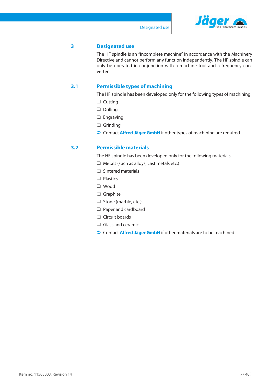

### **3 Designated use**

<span id="page-6-0"></span>The HF spindle is an "incomplete machine" in accordance with the Machinery Directive and cannot perform any function independently. The HF spindle can only be operated in conjunction with a machine tool and a frequency converter.

### **3.1 Permissible types of machining**

<span id="page-6-1"></span>The HF spindle has been developed only for the following types of machining.

- $\Box$  Cutting
- $\Box$  Drilling
- $\Box$  Engraving
- $\Box$  Grinding
- **Contact Alfred Jäger GmbH** if other types of machining are required.

### **3.2 Permissible materials**

<span id="page-6-2"></span>The HF spindle has been developed only for the following materials.

- $\Box$  Metals (such as alloys, cast metals etc.)
- $\Box$  Sintered materials
- $\Box$  Plastics
- q Wood
- $\Box$  Graphite
- $\Box$  Stone (marble, etc.)
- $\Box$  Paper and cardboard
- $\Box$  Circuit boards
- $\Box$  Glass and ceramic
- **Contact Alfred Jäger GmbH** if other materials are to be machined.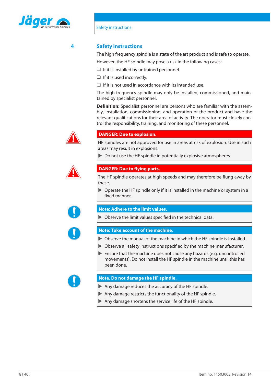

### **4 Safety instructions**

<span id="page-7-0"></span>The high frequency spindle is a state of the art product and is safe to operate. However, the HF spindle may pose a risk in the following cases:

- $\Box$  If it is installed by untrained personnel.
- $\Box$  If it is used incorrectly.
- $\Box$  If it is not used in accordance with its intended use.

The high frequency spindle may only be installed, commissioned, and maintained by specialist personnel.

**Definition:** Specialist personnel are persons who are familiar with the assembly, installation, commissioning, and operation of the product and have the relevant qualifications for their area of activity. The operator must closely control the responsibility, training, and monitoring of these personnel.



### **DANGER: Due to explosion.**

HF spindles are not approved for use in areas at risk of explosion. Use in such areas may result in explosions.

 $\triangleright$  Do not use the HF spindle in potentially explosive atmospheres.



### **DANGER: Due to flying parts.**

The HF spindle operates at high speeds and may therefore be flung away by these.

 $\triangleright$  Operate the HF spindle only if it is installed in the machine or system in a fixed manner.



### **Note: Adhere to the limit values.**

 $\triangleright$  Observe the limit values specified in the technical data.



### **Note: Take account of the machine.**

- $\triangleright$  Observe the manual of the machine in which the HF spindle is installed.
- $\triangleright$  Observe all safety instructions specified by the machine manufacturer.
- $\blacktriangleright$  Ensure that the machine does not cause any hazards (e.g. uncontrolled movements). Do not install the HF spindle in the machine until this has been done.



### **Note. Do not damage the HF spindle.**

- $\blacktriangleright$  Any damage reduces the accuracy of the HF spindle.
- $\blacktriangleright$  Any damage restricts the functionality of the HF spindle.
- $\blacktriangleright$  Any damage shortens the service life of the HF spindle.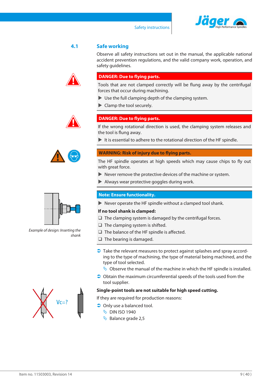



### **4.1 Safe working**

<span id="page-8-0"></span>Observe all safety instructions set out in the manual, the applicable national accident prevention regulations, and the valid company work, operation, and safety guidelines.

### **DANGER: Due to flying parts.**

Tools that are not clamped correctly will be flung away by the centrifugal forces that occur during machining.

- $\blacktriangleright$  Use the full clamping depth of the clamping system.
- $\blacktriangleright$  Clamp the tool securely.



### **DANGER: Due to flying parts.**

If the wrong rotational direction is used, the clamping system releases and the tool is flung away.

 $\blacktriangleright$  It is essential to adhere to the rotational direction of the HF spindle.

### **WARNING: Risk of injury due to flying parts.**

The HF spindle operates at high speeds which may cause chips to fly out with great force.

- $\blacktriangleright$  Never remove the protective devices of the machine or system.
- $\blacktriangleright$  Always wear protective goggles during work.

### **Note: Ensure functionality.**

 $\blacktriangleright$  Never operate the HF spindle without a clamped tool shank.

### **If no tool shank is clamped:**

- $\Box$  The clamping system is damaged by the centrifugal forces.
- $\Box$  The clamping system is shifted.
- $\Box$  The balance of the HF spindle is affected.
- $\Box$  The bearing is damaged.
- $\supset$  Take the relevant measures to protect against splashes and spray according to the type of machining, the type of material being machined, and the type of tool selected.
	- $\psi$  Observe the manual of the machine in which the HF spindle is installed.
- $\supset$  Obtain the maximum circumferential speeds of the tools used from the tool supplier.

### **Single-point tools are not suitable for high speed cutting.**

If they are required for production reasons:

- $\supset$  Only use a balanced tool.
	- $\%$  DIN ISO 1940
	- $\overline{\mathbb{Q}}$  Balance grade 2,5



*Example of design: Inserting the shank*

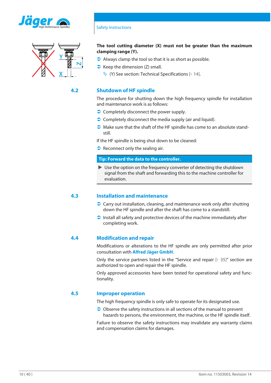



### **The tool cutting diameter (X) must not be greater than the maximum clamping range (Y).**

- $\bullet$  Always clamp the tool so that it is as short as possible.
- $\triangleright$  Keep the dimension (Z) small.
	- $\forall$  (Y) See section: [Technical Specifications \[](#page-13-0) $\rightarrow$  [14\].](#page-13-0)

### **4.2 Shutdown of HF spindle**

<span id="page-9-0"></span>The procedure for shutting down the high frequency spindle for installation and maintenance work is as follows:

- $\bullet$  Completely disconnect the power supply.
- $\bullet$  Completely disconnect the media supply (air and liquid).
- $\bullet$  Make sure that the shaft of the HF spindle has come to an absolute standstill.

If the HF spindle is being shut down to be cleaned:

 $\bullet$  Reconnect only the sealing air.

### **Tip: Forward the data to the controller.**

 $\triangleright$  Use the option on the frequency converter of detecting the shutdown signal from the shaft and forwarding this to the machine controller for evaluation.

### **4.3 Installation and maintenance**

- <span id="page-9-1"></span> $\supset$  Carry out installation, cleaning, and maintenance work only after shutting down the HF spindle and after the shaft has come to a standstill.
- $\Box$  Install all safety and protective devices of the machine immediately after completing work.

### **4.4 Modification and repair**

<span id="page-9-2"></span>Modifications or alterations to the HF spindle are only permitted after prior consultation with **Alfred Jäger GmbH**.

Only the service partners listed in the "Service and repair  $[\triangleright$  [35\]](#page-34-0)" section are authorized to open and repair the HF spindle.

Only approved accessories have been tested for operational safety and functionality.

### **4.5 Improper operation**

<span id="page-9-3"></span>The high frequency spindle is only safe to operate for its designated use.

 $\supset$  Observe the safety instructions in all sections of the manual to prevent hazards to persons, the environment, the machine, or the HF spindle itself.

Failure to observe the safety instructions may invalidate any warranty claims and compensation claims for damages.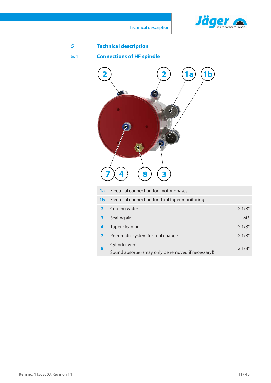

Technical description

<span id="page-10-1"></span><span id="page-10-0"></span>

| 5   | <b>Technical description</b>                                             |                |
|-----|--------------------------------------------------------------------------|----------------|
| 5.1 | <b>Connections of HF spindle</b>                                         |                |
|     | <b>1 b</b><br>l a<br>$\boldsymbol{\varrho}$<br>8<br>3                    |                |
|     | Electrical connection for: motor phases<br>1a                            |                |
|     | Electrical connection for: Tool taper monitoring<br>1 <sub>b</sub>       |                |
|     | Cooling water<br>$\overline{\mathbf{2}}$                                 | G 1/8"         |
|     | Sealing air<br>$\overline{\mathbf{3}}$                                   | M <sub>5</sub> |
|     | <b>Taper cleaning</b><br>4                                               | G 1/8"         |
|     | Pneumatic system for tool change<br>$\overline{ }$                       | G 1/8"         |
|     | Cylinder vent<br>8<br>Sound absorber (may only be removed if necessary!) | G 1/8"         |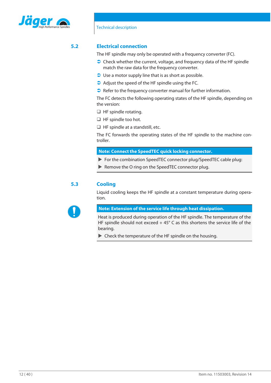

### **5.2 Electrical connection**

<span id="page-11-0"></span>The HF spindle may only be operated with a frequency converter (FC).

- $\supset$  Check whether the current, voltage, and frequency data of the HF spindle match the raw data for the frequency converter.
- $\bullet$  Use a motor supply line that is as short as possible.
- $\bullet$  Adjust the speed of the HF spindle using the FC.
- $\bullet$  Refer to the frequency converter manual for further information.

The FC detects the following operating states of the HF spindle, depending on the version:

- $\Box$  HF spindle rotating.
- $\Box$  HF spindle too hot.
- $\Box$  HF spindle at a standstill, etc.

The FC forwards the operating states of the HF spindle to the machine controller.

**Note: Connect the SpeedTEC quick locking connector.**

- $\triangleright$  For the combination SpeedTEC connector plug/SpeedTEC cable plug:
- $\blacktriangleright$  Remove the O ring on the SpeedTEC connector plug.

### **5.3 Cooling**

<span id="page-11-1"></span>Liquid cooling keeps the HF spindle at a constant temperature during operation.



**Note: Extension of the service life through heat dissipation.**

Heat is produced during operation of the HF spindle. The temperature of the HF spindle should not exceed  $+45^{\circ}$  C as this shortens the service life of the bearing.

 $\blacktriangleright$  Check the temperature of the HF spindle on the housing.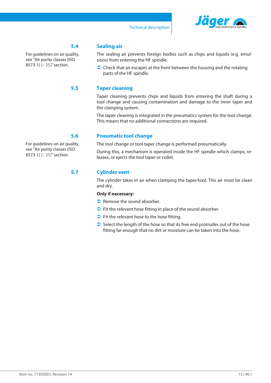

### **5.4 Sealing air**

For guidelines on air quality, see ["Air purity classes \(ISO](#page-24-1) [8573-1\) \[](#page-24-1) [25\]](#page-24-1)" section.

### **5.5 Taper cleaning**

<span id="page-12-1"></span>Taper cleaning prevents chips and liquids from entering the shaft during a tool change and causing contamination and damage to the inner taper and the clamping system.

<span id="page-12-0"></span>The sealing air prevents foreign bodies such as chips and liquids (e.g. emul-

 $\bullet$  Check that air escapes at the front between the housing and the rotating

The taper cleaning is integrated in the pneumatics system for the tool change. This means that no additional connections are required.

### **5.6 Pneumatic tool change**

sions) from entering the HF spindle.

parts of the HF spindle.

<span id="page-12-2"></span>The tool change or tool taper change is performed pneumatically.

During this, a mechanism is operated inside the HF spindle which clamps, releases, or ejects the tool taper or collet.

### **5.7 Cylinder vent**

<span id="page-12-3"></span>The cylinder takes in air when clamping the taper/tool. This air must be clean and dry.

### **Only if necessary:**

- $\supset$  Remove the sound absorber.
- $\bullet$  Fit the relevant hose fitting in place of the sound absorber.
- $\bullet$  Fit the relevant hose to the hose fitting.
- $\supset$  Select the length of the hose so that its free end protrudes out of the hose fitting far enough that no dirt or moisture can be taken into the hose.

For guidelines on air quality, see ["Air purity classes \(ISO](#page-24-1) [8573-1\) \[](#page-24-1) [25\]](#page-24-1)" section.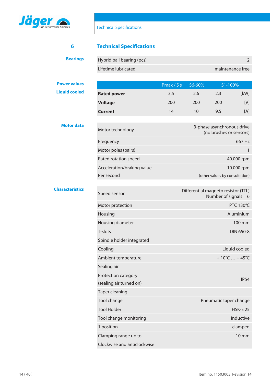

## <span id="page-13-0"></span>**6 Technical Specifications**

| <b>Bearings</b> | Hybrid ball bearing (pcs) |                  |
|-----------------|---------------------------|------------------|
|                 | Lifetime lubricated       | maintenance free |

### **Power values**

**Liquid cooled**

|                    | Pmax $/5s$ | $S6 - 60\%$ |     | $S1 - 100\%$    |
|--------------------|------------|-------------|-----|-----------------|
| <b>Rated power</b> | 3,5        | 2.6         | 2,3 | [kW]            |
| <b>Voltage</b>     | 200        | 200         | 200 | IV <sub>1</sub> |
| <b>Current</b>     | 14         | 10          | 9,5 | [A]             |

### **Motor data**

| Motor technology           | 3-phase asynchronous drive<br>(no brushes or sensors) |
|----------------------------|-------------------------------------------------------|
| Frequency                  | 667 Hz                                                |
| Motor poles (pairs)        |                                                       |
| Rated rotation speed       | 40,000 rpm                                            |
| Acceleration/braking value | 10,000 rpm                                            |
| Per second                 | (other values by consultation)                        |

### **Characteristics**

| Speed sensor                                   | Differential magneto resistor (TTL)<br>Number of signals = $6$ |
|------------------------------------------------|----------------------------------------------------------------|
| Motor protection                               | <b>PTC 130°C</b>                                               |
| Housing                                        | Aluminium                                                      |
| Housing diameter                               | 100 mm                                                         |
| T-slots                                        | DIN 650-8                                                      |
| Spindle holder integrated                      |                                                                |
| Cooling                                        | Liquid cooled                                                  |
| Ambient temperature                            | $+10^{\circ}$ C  +45 $^{\circ}$ C                              |
| Sealing air                                    |                                                                |
| Protection category<br>(sealing air turned on) | IP54                                                           |
| <b>Taper cleaning</b>                          |                                                                |
| Tool change                                    | Pneumatic taper change                                         |
| <b>Tool Holder</b>                             | $HSK-E$ 25                                                     |
| Tool change monitoring                         | inductive                                                      |
| 1 position                                     | clamped                                                        |
| Clamping range up to                           | $10 \text{ mm}$                                                |
| Clockwise and anticlockwise                    |                                                                |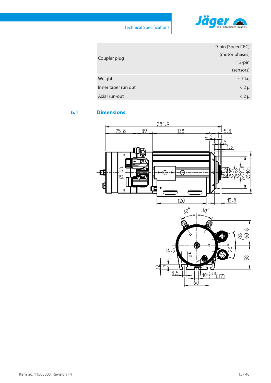

|                     | 9-pin (SpeedTEC) |
|---------------------|------------------|
| Coupler plug        | (motor phases)   |
|                     | 12-pin           |
|                     | (sensors)        |
| Weight              | $\sim$ 7 kg      |
| Inner taper run out | $< 2 \mu$        |
| Axial run-out       | $< 2 \mu$        |

### **6.1 Dimensions**

<span id="page-14-0"></span>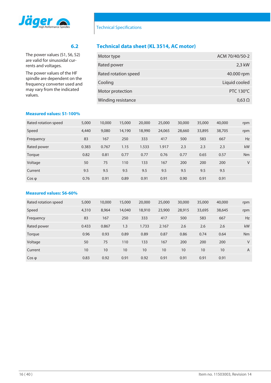

rents and voltages.

values.

### **6.2 Technical data sheet (KL 3514, AC motor)**

<span id="page-15-0"></span>

| Motor type           | ACM 70/40/50-2   |
|----------------------|------------------|
| Rated power          | 2,3 kW           |
| Rated rotation speed | 40.000 rpm       |
| Cooling              | Liquid cooled    |
| Motor protection     | <b>PTC 130°C</b> |
| Winding resistance   | $0.63 \Omega$    |

### **Measured values: S1-100%**

The power values (S1, S6, S2) are valid for sinusoidal cur-

The power values of the HF spindle are dependent on the frequency converter used and may vary from the indicated

| Rated rotation speed | 5,000 | 10,000 | 15,000 | 20,000 | 25,000 | 30,000 | 35,000 | 40,000 | rpm       |
|----------------------|-------|--------|--------|--------|--------|--------|--------|--------|-----------|
| Speed                | 4,440 | 9,080  | 14,190 | 18,990 | 24,065 | 28,660 | 33,895 | 38,705 | rpm       |
| Frequency            | 83    | 167    | 250    | 333    | 417    | 500    | 583    | 667    | Hz        |
| Rated power          | 0.383 | 0.767  | 1.15   | 1.533  | 1.917  | 2.3    | 2.3    | 2.3    | kW        |
| Torque               | 0.82  | 0.81   | 0.77   | 0.77   | 0.76   | 0.77   | 0.65   | 0.57   | <b>Nm</b> |
| Voltage              | 50    | 75     | 110    | 133    | 167    | 200    | 200    | 200    | V         |
| Current              | 9.5   | 9.5    | 9.5    | 9.5    | 9.5    | 9.5    | 9.5    | 9.5    |           |
| $\cos \varphi$       | 0.76  | 0.91   | 0.89   | 0.91   | 0.91   | 0.90   | 0.91   | 0.91   |           |

### **Measured values: S6-60%**

| Rated rotation speed | 5,000 | 10,000 | 15,000 | 20,000 | 25,000 | 30,000 | 35,000 | 40,000 | rpm            |
|----------------------|-------|--------|--------|--------|--------|--------|--------|--------|----------------|
| Speed                | 4,310 | 8,964  | 14,040 | 18,910 | 23,900 | 28,915 | 33,695 | 38,645 | rpm            |
| Frequency            | 83    | 167    | 250    | 333    | 417    | 500    | 583    | 667    | <b>Hz</b>      |
| Rated power          | 0.433 | 0.867  | 1.3    | 1.733  | 2.167  | 2.6    | 2.6    | 2.6    | kW             |
| Torque               | 0.96  | 0.93   | 0.89   | 0.89   | 0.87   | 0.86   | 0.74   | 0.64   | <b>Nm</b>      |
| Voltage              | 50    | 75     | 110    | 133    | 167    | 200    | 200    | 200    | V              |
| Current              | 10    | 10     | 10     | 10     | 10     | 10     | 10     | 10     | $\overline{A}$ |
| $\cos \varphi$       | 0.83  | 0.92   | 0.91   | 0.92   | 0.91   | 0.91   | 0.91   | 0.91   |                |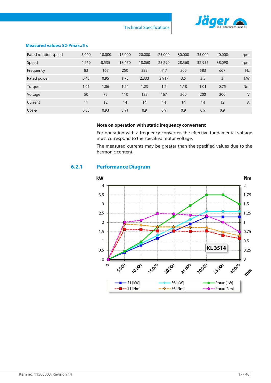

Technical Specifications

### **Measured values: S2-Pmax./5 s**

| Rated rotation speed | 5,000 | 10,000 | 15,000 | 20,000 | 25,000 | 30,000 | 35,000 | 40,000 | rpm            |
|----------------------|-------|--------|--------|--------|--------|--------|--------|--------|----------------|
| Speed                | 4,260 | 8,535  | 13,470 | 18,060 | 23,290 | 28,360 | 32,955 | 38,090 | rpm            |
| Frequency            | 83    | 167    | 250    | 333    | 417    | 500    | 583    | 667    | <b>Hz</b>      |
| Rated power          | 0.45  | 0.95   | 1.75   | 2.333  | 2.917  | 3.5    | 3.5    | 3      | <b>kW</b>      |
| Torque               | 1.01  | 1.06   | 1.24   | 1.23   | 1.2    | 1.18   | 1.01   | 0.75   | Nm             |
| Voltage              | 50    | 75     | 110    | 133    | 167    | 200    | 200    | 200    | V              |
| Current              | 11    | 12     | 14     | 14     | 14     | 14     | 14     | 12     | $\overline{A}$ |
| $\cos \varphi$       | 0.85  | 0.93   | 0.91   | 0.9    | 0.9    | 0.9    | 0.9    | 0.9    |                |

### **Note on operation with static frequency converters:**

For operation with a frequency converter, the effective fundamental voltage must correspond to the specified motor voltage.

The measured currents may be greater than the specified values due to the harmonic content.

### **6.2.1 Performance Diagram**

<span id="page-16-0"></span>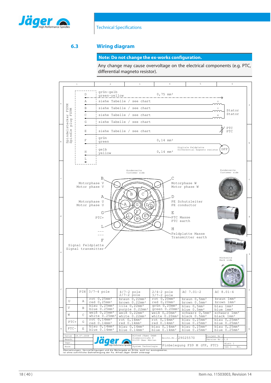

### **6.3 Wiring diagram**

### <span id="page-17-0"></span>**Note: Do not change the ex-works configuration.**

Any change may cause overvoltage on the electrical components (e.g. PTC, differential magneto resistor).

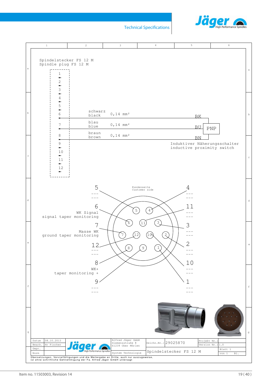

Technical Specifications

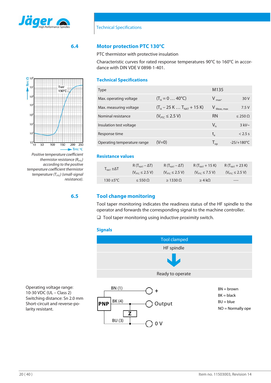

### **6.4 Motor protection PTC 130°C**

<span id="page-19-0"></span>PTC thermistor with protective insulation

Characteristic curves for rated response temperatures 90°C to 160°C in accordance with DIN VDE V 0898-1-401.

### **Technical Specifications**

| <b>Type</b>                 |                                | M135                       |                      |
|-----------------------------|--------------------------------|----------------------------|----------------------|
| Max. operating voltage      | $(T_A = 0  40^{\circ}C)$       | $V_{\text{max}}$           | 30 V                 |
| Max. measuring voltage      | $(T_A - 25 K  T_{NAT} + 15 K)$ | Meas, max                  | 7.5V                 |
| Nominal resistance          | $(V_{\text{PTC}} \le 2.5 V)$   | <b>RN</b>                  | $\leq$ 250 $\Omega$  |
| Insulation test voltage     |                                | $V_{iS}$                   | $3$ kV $\sim$        |
| Response time               |                                | $t_{\rm a}$                | $< 2.5$ s            |
| Operating temperature range | (V=0)                          | $\mathsf{T}_{\mathsf{op}}$ | $-25/+180^{\circ}$ C |

### **Resistance values**

|                                                     | $R(T_{NAT} - \Delta T)$      | $R(T_{NAT} - \Delta T)$      | $R (T_{NAT} + 15 K)$         | $R (T_{NAT} + 23 K)$         |
|-----------------------------------------------------|------------------------------|------------------------------|------------------------------|------------------------------|
| $\mathsf{T}_{\mathsf{NAT}}$ $\pm \Delta \mathsf{T}$ | $(V_{\text{prc}} \le 2.5 V)$ | $(V_{\text{PTC}} \le 2.5 V)$ | $(V_{\text{PTC}} \le 7.5 V)$ | $(V_{\text{PTC}} \le 2.5 V)$ |
| 130 $\pm$ 5°C                                       | $\leq 550 \Omega$            | $\geq$ 1330 $\Omega$         | $\geq 4$ kΩ                  | ----                         |

### **6.5 Tool change monitoring**

BU (3)

**Z**

<span id="page-19-1"></span>Tool taper monitoring indicates the readiness status of the HF spindle to the operator and forwards the corresponding signal to the machine controller.

 $\Box$  Tool taper monitoring using inductive proximity switch.

0 V

### **Signals**



NO = Normally ope



*Positive temperature coefficient thermistor resistance* ( $R_{PTC}$ ) *according to the positive temperature coefficient thermistor temperature (TPTC) (small-signal resistance).*

Operating voltage range: 10-30 VDC (UL – Class 2) Switching distance: Sn 2.0 mm Short-circuit and reverse-po-

larity resistant.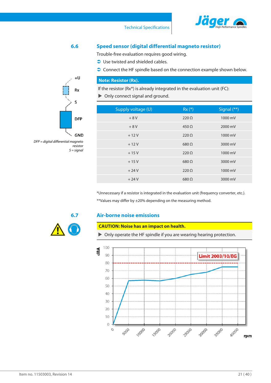

### Technical Specifications

**6.6 Speed sensor (digital differential magneto resistor)**

<span id="page-20-0"></span>Trouble-free evaluation requires good wiring.

 $\bullet$  Use twisted and shielded cables.

 $\supset$  Connect the HF spindle based on the connection example shown below.

### **Note: Resistor (Rx).**

If the resistor (Rx\*) is already integrated in the evaluation unit (FC):  $\triangleright$  Only connect signal and ground.

| Supply voltage (U) | $Rx (*)$      | Signal $(**)$ |
|--------------------|---------------|---------------|
| $+8V$              | $220 \Omega$  | 1000 mV       |
| $+8V$              | $450 \Omega$  | 2000 mV       |
| $+12V$             | $220 \Omega$  | 1000 mV       |
| $+12V$             | $680\Omega$   | 3000 mV       |
| $+15V$             | $220 \Omega$  | 1000 mV       |
| $+15V$             | $680\Omega$   | 3000 mV       |
| $+24V$             | $220 \Omega$  | 1000 mV       |
| $+24V$             | $680\,\Omega$ | 3000 mV       |
|                    |               |               |

\*Unnecessary if a resistor is integrated in the evaluation unit (frequency converter, etc.). \*\*Values may differ by ±20% depending on the measuring method.

### **6.7 Air-borne noise emissions**

### <span id="page-20-1"></span>**CAUTION: Noise has an impact on health.**

 $\triangleright$  Only operate the HF spindle if you are wearing hearing protection.





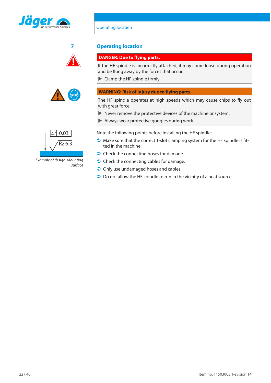





# **7 Operating location**

Operating location

### <span id="page-21-0"></span>**DANGER: Due to flying parts.**

If the HF spindle is incorrectly attached, it may come loose during operation and be flung away by the forces that occur.

 $\blacktriangleright$  Clamp the HF spindle firmly.

### **WARNING: Risk of injury due to flying parts.**

The HF spindle operates at high speeds which may cause chips to fly out with great force.

- $\blacktriangleright$  Never remove the protective devices of the machine or system.
- $\blacktriangleright$  Always wear protective goggles during work.

Note the following points before installing the HF spindle:

- $\bullet$  Make sure that the correct T-slot clamping system for the HF spindle is fitted in the machine.
- $\bullet$  Check the connecting hoses for damage.
- $\bullet$  Check the connecting cables for damage.
- $\bullet$  Only use undamaged hoses and cables.
- $\supset$  Do not allow the HF spindle to run in the vicinity of a heat source.



*Example of design: Mounting surface*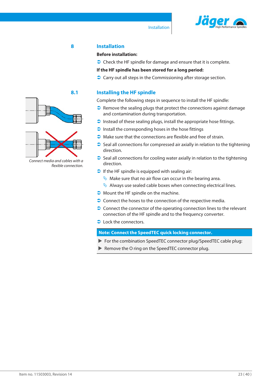

### **8 Installation**

### <span id="page-22-0"></span>**Before installation:**

 $\supset$  Check the HF spindle for damage and ensure that it is complete.

**If the HF spindle has been stored for a long period:**

 $\supset$  Carry out all steps in the Commissioning after storage section.

### **8.1 Installing the HF spindle**

<span id="page-22-1"></span>Complete the following steps in sequence to install the HF spindle:

- $\bullet$  Remove the sealing plugs that protect the connections against damage and contamination during transportation.
- $\Box$  Instead of these sealing plugs, install the appropriate hose fittings.
- $\Box$  Install the corresponding hoses in the hose fittings
- $\bullet$  Make sure that the connections are flexible and free of strain.
- $\supset$  Seal all connections for compressed air axially in relation to the tightening direction.
- $\bullet$  Seal all connections for cooling water axially in relation to the tightening direction.
- $\bullet$  If the HF spindle is equipped with sealing air:
	- $\psi$  Make sure that no air flow can occur in the bearing area.
	- $\mathbb{Q}$  Always use sealed cable boxes when connecting electrical lines.
- $\bullet$  Mount the HF spindle on the machine.
- $\supset$  Connect the hoses to the connection of the respective media.
- $\supset$  Connect the connector of the operating connection lines to the relevant connection of the HF spindle and to the frequency converter.
- $\bullet$  Lock the connectors.

**Note: Connect the SpeedTEC quick locking connector.**

- For the combination SpeedTEC connector plug/SpeedTEC cable plug:
- Remove the O ring on the SpeedTEC connector plug.





*Connect media and cables with a flexible connection.*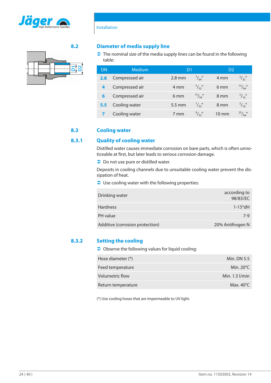



Installation

### **8.2 Diameter of media supply line**

<span id="page-23-0"></span> $\bullet$  The nominal size of the media supply lines can be found in the following table:

| DN  | <b>Medium</b>  | D1              |                      | D <sub>2</sub>  |                 |
|-----|----------------|-----------------|----------------------|-----------------|-----------------|
| 2.8 | Compressed air | $2.8$ mm        | $^{7}/_{64}$ "       | 4 mm            | $^{5}/_{32}$ "  |
| 4   | Compressed air | 4 mm            | $^{5}/_{32}$ "       | 6 <sub>mm</sub> | $^{15}/_{64}$ " |
|     | Compressed air | 6 <sub>mm</sub> | $^{15}/\frac{1}{64}$ | 8 mm            | $^{5}/_{16}$ "  |
| 5.5 | Cooling water  | 5.5 mm          | $^{7}/_{32}$ "       | 8 mm            | $^{5}/_{16}$ "  |
|     | Cooling water  | 7 mm            | 9/32                 | 10 mm           | $^{25}/_{64}$ " |

### **8.3 Cooling water**

### **8.3.1 Quality of cooling water**

<span id="page-23-2"></span><span id="page-23-1"></span>Distilled water causes immediate corrosion on bare parts, which is often unnoticeable at first, but later leads to serious corrosion damage.

 $\supset$  Do not use pure or distilled water.

Deposits in cooling channels due to unsuitable cooling water prevent the dissipation of heat.

 $\supset$  Use cooling water with the following properties:

| Drinking water                  | according to<br>98/83/EC |
|---------------------------------|--------------------------|
| <b>Hardness</b>                 | $1-15^{\circ}$ dH        |
| PH value                        | $7-9$                    |
| Additive (corrosion protection) | 20% Antifrogen N         |

### **8.3.2 Setting the cooling**

<span id="page-23-3"></span> $\bigcirc$  Observe the following values for liquid cooling:

| Min. DN 5.5         |
|---------------------|
| Min. $20^{\circ}$ C |
| Min. $1.5$ $1/m$ in |
| Max. $40^{\circ}$ C |
|                     |

(\*) Use cooling hoses that are impermeable to UV light.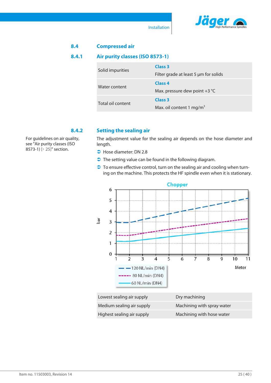

Installation

<span id="page-24-1"></span><span id="page-24-0"></span>

| 8.4                                      | <b>Compressed air</b> |                                                             |
|------------------------------------------|-----------------------|-------------------------------------------------------------|
| Air purity classes (ISO 8573-1)<br>8.4.1 |                       |                                                             |
|                                          | Solid impurities      | Class <sub>3</sub><br>Filter grade at least 5 µm for solids |
|                                          | Water content         | Class <sub>4</sub><br>Max. pressure dew point $+3$ °C       |
|                                          | Total oil content     | Class <sub>3</sub><br>Max. oil content 1 mg/m <sup>3</sup>  |

For guidelines on air quality, see ["Air purity classes \(ISO](#page-24-1) [8573-1\) \[](#page-24-1) [25\]](#page-24-1)" section.

### **8.4.2 Setting the sealing air**

<span id="page-24-2"></span>The adjustment value for the sealing air depends on the hose diameter and length.

- $\bigcirc$  Hose diameter: DN 2.8
- $\supset$  The setting value can be found in the following diagram.
- $\supset$  To ensure effective control, turn on the sealing air and cooling when turning on the machine. This protects the HF spindle even when it is stationary.



| Lowest sealing air supply  | Dry machining              |
|----------------------------|----------------------------|
| Medium sealing air supply  | Machining with spray water |
| Highest sealing air supply | Machining with hose water  |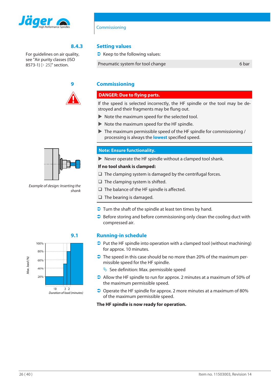

### Commissioning

For guidelines on air quality, see ["Air purity classes \(ISO](#page-24-1) [8573-1\) \[](#page-24-1)[}](#page-24-1) [25\]](#page-24-1)" section.



### **8.4.3 Setting values**

<span id="page-25-0"></span> $\bullet$  Keep to the following values:

Pneumatic system for tool change 6 bar

### **9 Commissioning**

### <span id="page-25-1"></span>**DANGER: Due to flying parts.**

If the speed is selected incorrectly, the HF spindle or the tool may be destroyed and their fragments may be flung out.

- $\triangleright$  Note the maximum speed for the selected tool.
- $\triangleright$  Note the maximum speed for the HF spindle.
- $\blacktriangleright$  The maximum permissible speed of the HF spindle for commissioning / processing is always the **lowest** specified speed.

### **Note: Ensure functionality.**

 $\blacktriangleright$  Never operate the HF spindle without a clamped tool shank.

### **If no tool shank is clamped:**

- $\Box$  The clamping system is damaged by the centrifugal forces.
- $\Box$  The clamping system is shifted.
- $\Box$  The balance of the HF spindle is affected.
- $\Box$  The bearing is damaged.
- $\supset$  Turn the shaft of the spindle at least ten times by hand.
- $\supset$  Before storing and before commissioning only clean the cooling duct with compressed air.



### **9.1 Running-in schedule**

- <span id="page-25-2"></span> $\supset$  Put the HF spindle into operation with a clamped tool (without machining) for approx. 10 minutes.
- $\supset$  The speed in this case should be no more than 20% of the maximum permissible speed for the HF spindle.
	- $\&$  See definition: Max. permissible speed
- $\supset$  Allow the HF spindle to run for approx. 2 minutes at a maximum of 50% of the maximum permissible speed.
- $\supset$  Operate the HF spindle for approx. 2 more minutes at a maximum of 80% of the maximum permissible speed.

**The HF spindle is now ready for operation.**



*Example of design: Inserting the shank*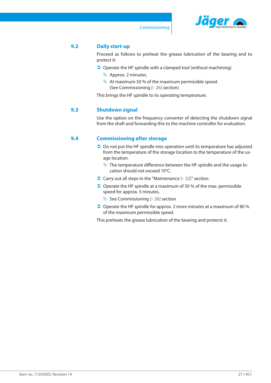

Commissioning

### **9.2 Daily start-up**

<span id="page-26-0"></span>Proceed as follows to preheat the grease lubrication of the bearing and to protect it:

- $\supset$  Operate the HF spindle with a clamped tool (without machining).
	- $\updownarrow$  Approx. 2 minutes.
	- $\&$  At maximum 50 % of the maximum permissible speed. (See [Commissioning \[](#page-25-1)[}](#page-25-1) [26\]](#page-25-1) section)

This brings the HF spindle to its operating temperature.

### **9.3 Shutdown signal**

<span id="page-26-1"></span>Use the option on the frequency converter of detecting the shutdown signal from the shaft and forwarding this to the machine controller for evaluation.

### **9.4 Commissioning after storage**

- <span id="page-26-2"></span> $\supset$  Do not put the HF spindle into operation until its temperature has adjusted from the temperature of the storage location to the temperature of the usage location.
	- $\psi$  The temperature difference between the HF spindle and the usage location should not exceed 10°C.
- $\bullet$  Carry out all steps in the "Maintenance  $[$  [32\]"](#page-31-0) section.
- $\supset$  Operate the HF spindle at a maximum of 50 % of the max. permissible speed for approx. 5 minutes.
	- $\&$  See [Commissioning \[](#page-25-1) $\&$  [26\]](#page-25-1) section
- $\bigcirc$  Operate the HF spindle for approx. 2 more minutes at a maximum of 80 % of the maximum permissible speed.

This preheats the grease lubrication of the bearing and protects it.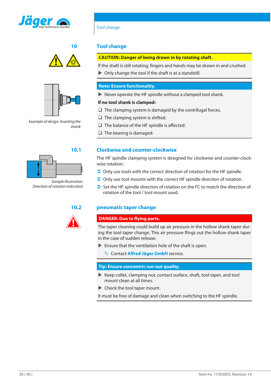





*Example of design: Inserting the shank*



*Sample illustration: Direction of rotation indication*



Tool change

### **10 Tool change**

### <span id="page-27-0"></span>**CAUTION: Danger of being drawn in by rotating shaft.**

If the shaft is still rotating, fingers and hands may be drawn in and crushed.  $\triangleright$  Only change the tool if the shaft is at a standstill.

### **Note: Ensure functionality.**

 $\blacktriangleright$  Never operate the HF spindle without a clamped tool shank.

### **If no tool shank is clamped:**

 $\Box$  The clamping system is damaged by the centrifugal forces.

- $\Box$  The clamping system is shifted.
- $\Box$  The balance of the HF spindle is affected.
- $\Box$  The bearing is damaged.

### **10.1 Clockwise and counter-clockwise**

<span id="page-27-1"></span>The HF spindle clamping system is designed for clockwise and counter-clockwise rotation.

- $\supset$  Only use tools with the correct direction of rotation for the HF spindle.
- $\supset$  Only use tool mounts with the correct HF spindle direction of rotation.
- $\supset$  Set the HF spindle direction of rotation on the FC to match the direction of rotation of the tool / tool mount used.

### **10.2 pneumatic taper change**

### <span id="page-27-2"></span>**DANGER: Due to flying parts.**

The taper cleaning could build up air pressure in the hollow shank taper during the tool taper change. This air pressure flings out the hollow shank taper in the case of sudden release.

- $\blacktriangleright$  Ensure that the ventilation hole of the shaft is open.
	- $\&$  Contact **Alfred Jäger GmbH** service.

### **Tip: Ensure concentric run-out quality.**

- $\blacktriangleright$  Keep collet, clamping nut, contact surface, shaft, tool taper, and tool mount clean at all times.
- $\blacktriangleright$  Check the tool taper mount.

It must be free of damage and clean when switching to the HF spindle.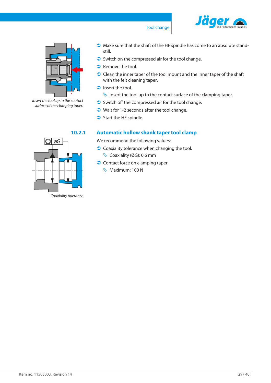

### Tool change



*Insert the tool up to the contact surface of the clamping taper.*

 $\bullet$  Make sure that the shaft of the HF spindle has come to an absolute standstill.

- $\supset$  Switch on the compressed air for the tool change.
- $\supset$  Remove the tool.
- $\supset$  Clean the inner taper of the tool mount and the inner taper of the shaft with the felt cleaning taper.
- $\Box$  Insert the tool.
	- $\psi$  Insert the tool up to the contact surface of the clamping taper.
- $\bullet$  Switch off the compressed air for the tool change.
- $\bullet$  Wait for 1-2 seconds after the tool change.
- $\supset$  Start the HF spindle.

### **10.2.1 Automatic hollow shank taper tool clamp**

<span id="page-28-0"></span>We recommend the following values:

- $\bullet$  Coaxiality tolerance when changing the tool.  $\&$  Coaxiality (ØG): 0,6 mm
- $\supset$  Contact force on clamping taper.
	- **W** Maximum: 100 N



*Coaxiality tolerance*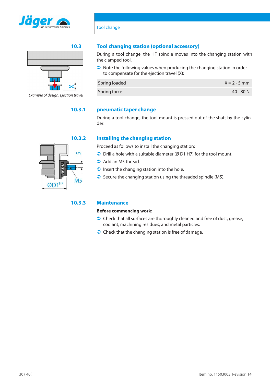



*Example of design: Ejection travel*

### **10.3 Tool changing station (optional accessory)**

<span id="page-29-0"></span>During a tool change, the HF spindle moves into the changing station with the clamped tool.

 $\bullet$  Note the following values when producing the changing station in order to compensate for the ejection travel (X):

| Spring loaded | $X = 2 - 5$ mm |
|---------------|----------------|
| Spring force  | 40 - 80 N      |

### **10.3.1 pneumatic taper change**

Tool change

<span id="page-29-1"></span>During a tool change, the tool mount is pressed out of the shaft by the cylinder.

### **10.3.2 Installing the changing station**

<span id="page-29-2"></span>Proceed as follows to install the changing station:

- $\supset$  Drill a hole with a suitable diameter (Ø D1 H7) for the tool mount.
- $\supset$  Add an M5 thread.
- $\Box$  Insert the changing station into the hole.
- $\supset$  Secure the changing station using the threaded spindle (M5).

### **10.3.3 Maintenance**

### <span id="page-29-3"></span>**Before commencing work:**

- $\supset$  Check that all surfaces are thoroughly cleaned and free of dust, grease, coolant, machining residues, and metal particles.
- $\supset$  Check that the changing station is free of damage.

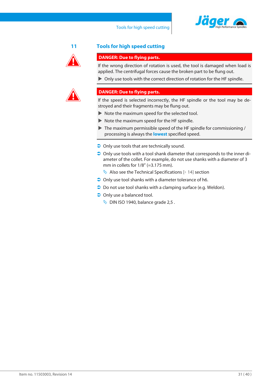



### **11 Tools for high speed cutting**

### <span id="page-30-0"></span>**DANGER: Due to flying parts.**

If the wrong direction of rotation is used, the tool is damaged when load is applied. The centrifugal forces cause the broken part to be flung out.

 $\triangleright$  Only use tools with the correct direction of rotation for the HF spindle.



### **DANGER: Due to flying parts.**

If the speed is selected incorrectly, the HF spindle or the tool may be destroyed and their fragments may be flung out.

- $\triangleright$  Note the maximum speed for the selected tool.
- $\blacktriangleright$  Note the maximum speed for the HF spindle.
- $\blacktriangleright$  The maximum permissible speed of the HF spindle for commissioning / processing is always the **lowest** specified speed.
- $\supset$  Only use tools that are technically sound.
- $\supset$  Only use tools with a tool shank diameter that corresponds to the inner diameter of the collet. For example, do not use shanks with a diameter of 3 mm in collets for  $1/8$ " (=3.175 mm).
	- $\lozenge$  Also see the [Technical Specifications \[](#page-13-0) $\lozenge$  [14\]](#page-13-0) section
- $\supset$  Only use tool shanks with a diameter tolerance of h6.
- $\supset$  Do not use tool shanks with a clamping surface (e.g. Weldon).
- $\supset$  Only use a balanced tool.
	- $\%$  DIN ISO 1940, balance grade 2,5.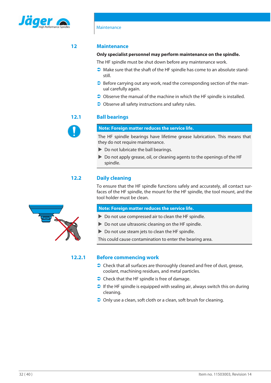

### **12 Maintenance**

### <span id="page-31-0"></span>**Only specialist personnel may perform maintenance on the spindle.**

The HF spindle must be shut down before any maintenance work.

- $\Box$  Make sure that the shaft of the HF spindle has come to an absolute standstill.
- $\supset$  Before carrying out any work, read the corresponding section of the manual carefully again.
- $\supset$  Observe the manual of the machine in which the HF spindle is installed.
- <span id="page-31-1"></span> $\bullet$  Observe all safety instructions and safety rules.

### **12.1 Ball bearings**

### **Note: Foreign matter reduces the service life.**

The HF spindle bearings have lifetime grease lubrication. This means that they do not require maintenance.

- $\triangleright$  Do not lubricate the ball bearings.
- $\triangleright$  Do not apply grease, oil, or cleaning agents to the openings of the HF spindle.

### **12.2 Daily cleaning**

<span id="page-31-2"></span>To ensure that the HF spindle functions safely and accurately, all contact surfaces of the HF spindle, the mount for the HF spindle, the tool mount, and the tool holder must be clean.

### **Note: Foreign matter reduces the service life.**

- $\triangleright$  Do not use compressed air to clean the HF spindle.
- $\triangleright$  Do not use ultrasonic cleaning on the HF spindle.
- $\triangleright$  Do not use steam jets to clean the HF spindle.

This could cause contamination to enter the bearing area.

### **12.2.1 Before commencing work**

- <span id="page-31-3"></span> $\supset$  Check that all surfaces are thoroughly cleaned and free of dust, grease, coolant, machining residues, and metal particles.
- $\bullet$  Check that the HF spindle is free of damage.
- $\bullet$  If the HF spindle is equipped with sealing air, always switch this on during cleaning.
- $\supset$  Only use a clean, soft cloth or a clean, soft brush for cleaning.

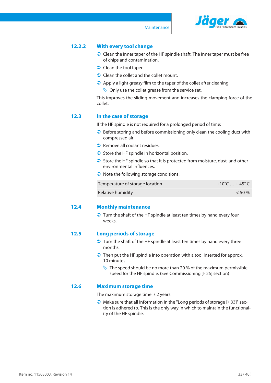

Maintenance

### **12.2.2 With every tool change**

- <span id="page-32-0"></span> $\supset$  Clean the inner taper of the HF spindle shaft. The inner taper must be free of chips and contamination.
- $\bigcirc$  Clean the tool taper.
- $\bullet$  Clean the collet and the collet mount.
- $\bullet$  Apply a light greasy film to the taper of the collet after cleaning.
	- $\lozenge$  Only use the collet grease from the service set.

This improves the sliding movement and increases the clamping force of the collet.

### **12.3 In the case of storage**

<span id="page-32-1"></span>If the HF spindle is not required for a prolonged period of time:

- $\bullet$  Before storing and before commissioning only clean the cooling duct with compressed air.
- $\supset$  Remove all coolant residues.
- $\supset$  Store the HF spindle in horizontal position.
- $\supset$  Store the HF spindle so that it is protected from moisture, dust, and other environmental influences.
- $\bullet$  Note the following storage conditions.

| Temperature of storage location | +10°C  + 45° C |
|---------------------------------|----------------|
| Relative humidity               | $< 50 \%$      |

### **12.4 Monthly maintenance**

<span id="page-32-2"></span> $\supset$  Turn the shaft of the HF spindle at least ten times by hand every four weeks.

### **12.5 Long periods of storage**

- <span id="page-32-3"></span> $\supset$  Turn the shaft of the HF spindle at least ten times by hand every three months.
- $\supset$  Then put the HF spindle into operation with a tool inserted for approx. 10 minutes.
	- $\frac{N}{2}$  The speed should be no more than 20 % of the maximum permissible speed for the HF spindle. (See [Commissioning \[](#page-25-1)[}](#page-25-1) [26\]](#page-25-1) section)

### **12.6 Maximum storage time**

<span id="page-32-4"></span>The maximum storage time is 2 years.

 $\bullet$  Make sure that all information in the "Long periods of storage  $[$  [33\]"](#page-32-3) section is adhered to. This is the only way in which to maintain the functionality of the HF spindle.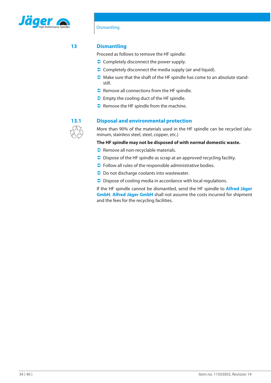

### **Dismantling**

### **13 Dismantling**

<span id="page-33-0"></span>Proceed as follows to remove the HF spindle:

- $\bullet$  Completely disconnect the power supply.
- $\bullet$  Completely disconnect the media supply (air and liquid).
- $\bullet$  Make sure that the shaft of the HF spindle has come to an absolute standstill.
- $\bullet$  Remove all connections from the HF spindle.
- $\bullet$  Empty the cooling duct of the HF spindle.
- $\bullet$  Remove the HF spindle from the machine.



### **13.1 Disposal and environmental protection**

<span id="page-33-1"></span>More than 90% of the materials used in the HF spindle can be recycled (aluminum, stainless steel, steel, copper, etc.)

### **The HF spindle may not be disposed of with normal domestic waste.**

- Remove all non-recyclable materials.
- $\supset$  Dispose of the HF spindle as scrap at an approved recycling facility.
- $\bullet$  Follow all rules of the responsible administrative bodies.
- $\supset$  Do not discharge coolants into wastewater.
- $\supset$  Dispose of cooling media in accordance with local regulations.

If the HF spindle cannot be dismantled, send the HF spindle to **Alfred Jäger GmbH**. **Alfred Jäger GmbH** shall not assume the costs incurred for shipment and the fees for the recycling facilities.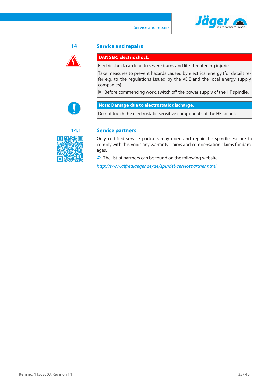



### **14 Service and repairs**

### <span id="page-34-0"></span>**DANGER: Electric shock.**

Electric shock can lead to severe burns and life-threatening injuries.

Take measures to prevent hazards caused by electrical energy (for details refer e.g. to the regulations issued by the VDE and the local energy supply companies).

 $\triangleright$  Before commencing work, switch off the power supply of the HF spindle.



### **Note: Damage due to electrostatic discharge.**

Do not touch the electrostatic-sensitive components of the HF spindle.



### **14.1 Service partners**

<span id="page-34-1"></span>Only certified service partners may open and repair the spindle. Failure to comply with this voids any warranty claims and compensation claims for damages.

 $\supset$  The list of partners can be found on the following website.

*<http://www.alfredjaeger.de/de/spindel-servicepartner.html>*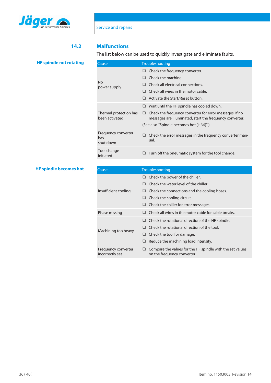

### **14.2 Malfunctions**

<span id="page-35-0"></span>The list below can be used to quickly investigate and eliminate faults.

| Cause                                    | Troubleshooting                                                                                                          |
|------------------------------------------|--------------------------------------------------------------------------------------------------------------------------|
|                                          | Check the frequency converter.                                                                                           |
|                                          | Check the machine.                                                                                                       |
| No<br>power supply                       | Check all electrical connections.                                                                                        |
|                                          | Check all wires in the motor cable.<br>H                                                                                 |
|                                          | Activate the Start/Reset button.                                                                                         |
|                                          | Wait until the HF spindle has cooled down.                                                                               |
| Thermal protection has<br>been activated | Check the frequency converter for error messages. If no<br>⊔<br>messages are illuminated, start the frequency converter. |
|                                          | (See also "Spindle becomes hot [ 36]".)                                                                                  |
| Frequency converter<br>has<br>shut down  | Check the error messages in the frequency converter man-<br>ual.                                                         |
| Tool change<br>initiated                 | Turn off the pneumatic system for the tool change.<br>⊔                                                                  |

### **HF spindle becomes hot**

<span id="page-35-1"></span>

| Cause                                  | Troubleshooting                                                                               |
|----------------------------------------|-----------------------------------------------------------------------------------------------|
|                                        | $\Box$ Check the power of the chiller.                                                        |
|                                        | Check the water level of the chiller.                                                         |
| Insufficient cooling                   | Check the connections and the cooling hoses.                                                  |
|                                        | $\Box$ Check the cooling circuit.                                                             |
|                                        | Check the chiller for error messages.                                                         |
| Phase missing                          | Check all wires in the motor cable for cable breaks.                                          |
|                                        | Check the rotational direction of the HF spindle.                                             |
| Machining too heavy                    | Check the rotational direction of the tool.<br>ப                                              |
|                                        | Check the tool for damage.<br>⊔                                                               |
|                                        | Reduce the machining load intensity.                                                          |
| Frequency converter<br>incorrectly set | Compare the values for the HF spindle with the set values<br>⊔<br>on the frequency converter. |

**HF spindle not rotating**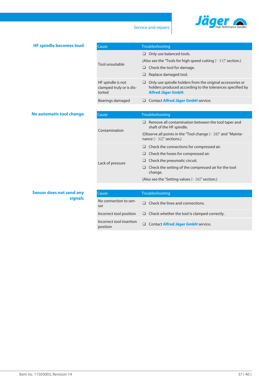

### Service and repairs

### **HF spindle becomes loud**

| Cause,                                                  | Troubleshooting                                                                                                                              |  |  |
|---------------------------------------------------------|----------------------------------------------------------------------------------------------------------------------------------------------|--|--|
|                                                         | Only use balanced tools.                                                                                                                     |  |  |
| Tool unsuitable                                         | (Also see the "Tools for high speed cutting $[$ 31]" section.)                                                                               |  |  |
|                                                         | Check the tool for damage.<br>⊔                                                                                                              |  |  |
|                                                         | Replace damaged tool.                                                                                                                        |  |  |
| HF spindle is not<br>clamped truly or is dis-<br>torted | Only use spindle holders from the original accessories or<br>holders produced according to the tolerances specified by<br>Alfred Jäger GmbH. |  |  |
| Bearings damaged                                        | Contact <b>Alfred Jäger GmbH</b> service.                                                                                                    |  |  |

### **No automatic tool change**

| Cause            | Troubleshooting                                                                                                                                                                                                                                      |  |  |
|------------------|------------------------------------------------------------------------------------------------------------------------------------------------------------------------------------------------------------------------------------------------------|--|--|
| Contamination    | Remove all contamination between the tool taper and<br>⊔<br>shaft of the HF spindle.                                                                                                                                                                 |  |  |
|                  | (Observe all points in the "Tool change [ 28]" and "Mainte-<br>nance $[$ 32]" sections.)                                                                                                                                                             |  |  |
| Lack of pressure | Check the connections for compressed air.<br>⊔<br>Check the hoses for compressed air.<br>⊔<br>Check the pneumatic circuit.<br>Check the setting of the compressed air for the tool<br>⊔<br>change.<br>(Also see the "Setting values [ 26]" section.) |  |  |
|                  |                                                                                                                                                                                                                                                      |  |  |

### **Sensor does not send any signals**

| Cause                    | Troubleshooting                                     |
|--------------------------|-----------------------------------------------------|
| No connection to sen-    | Check the lines and connections.                    |
| sor                      |                                                     |
| Incorrect tool position  | $\Box$ Check whether the tool is clamped correctly. |
| Incorrect tool insertion | Contact Alfred Jäger GmbH service.                  |
| position                 | $\Box$                                              |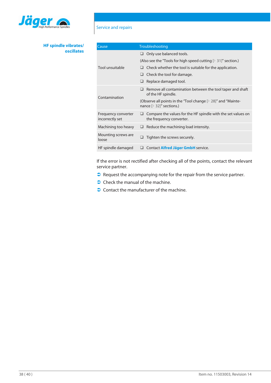

### **HF spindle vibrates/ oscillates**

## Service and repairs

| Cause                                  | Troubleshooting                                                                               |  |  |
|----------------------------------------|-----------------------------------------------------------------------------------------------|--|--|
|                                        | $\Box$ Only use balanced tools.                                                               |  |  |
|                                        | (Also see the "Tools for high speed cutting $[$ 31]" section.)                                |  |  |
| Tool unsuitable                        | Check whether the tool is suitable for the application.                                       |  |  |
|                                        | Check the tool for damage.                                                                    |  |  |
|                                        | Replace damaged tool.<br>⊔                                                                    |  |  |
| Contamination                          | Remove all contamination between the tool taper and shaft<br>of the HF spindle.               |  |  |
|                                        | (Observe all points in the "Tool change [ 28]" and "Mainte-<br>nance [▶ 32]" sections.)       |  |  |
| Frequency converter<br>incorrectly set | Compare the values for the HF spindle with the set values on<br>⊔<br>the frequency converter. |  |  |
| Machining too heavy                    | Reduce the machining load intensity.                                                          |  |  |
| Mounting screws are<br>loose           | Tighten the screws securely.                                                                  |  |  |
| HF spindle damaged                     | Contact Alfred Jäger GmbH service.                                                            |  |  |

If the error is not rectified after checking all of the points, contact the relevant service partner.

- $\supset$  Request the accompanying note for the repair from the service partner.
- $\bigcirc$  Check the manual of the machine.
- $\bullet$  Contact the manufacturer of the machine.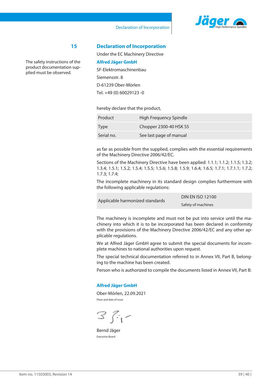

### Declaration of Incorporation

The safety instructions of the product documentation supplied must be observed.

**15 Declaration of Incorporation** Under the EC Machinery Directive

<span id="page-38-0"></span>

| Alfred Jäger GmbH        |  |  |
|--------------------------|--|--|
| SF-Elektromaschinenbau   |  |  |
| Siemensstr. 8            |  |  |
| D-61239 Ober-Mörlen      |  |  |
| Tel. +49 (0) 60029123 -0 |  |  |

hereby declare that the product,

| Product     | High Frequency Spindle  |
|-------------|-------------------------|
| <b>Type</b> | Chopper 2300-40 HSK S5  |
| Serial no.  | See last page of manual |

as far as possible from the supplied, complies with the essential requirements of the Machinery Directive 2006/42/EC.

Sections of the Machinery Directive have been applied: 1.1.1; 1.1.2; 1.1.5; 1.3.2; 1.3.4; 1.5.1; 1.5.2; 1.5.4; 1.5.5; 1.5.6; 1.5.8; 1.5.9; 1.6.4; 1.6.5; 1.7.1; 1.7.1.1; 1.7.2; 1.7.3; 1.7.4;

The incomplete machinery in its standard design complies furthermore with the following applicable regulations:

Applicable harmonized standards

DIN EN ISO 12100 Safety of machines

The machinery is incomplete and must not be put into service until the machinery into which it is to be incorporated has been declared in conformity with the provisions of the Machinery Directive 2006/42/EC and any other applicable regulations.

We at Alfred Jäger GmbH agree to submit the special documents for incomplete machines to national authorities upon request.

The special technical documentation referred to in Annex VII, Part B, belonging to the machine has been created.

Person who is authorized to compile the documents listed in Annex VII, Part B:

### **Alfred Jäger GmbH**

Ober-Mörlen, 22.09.2021 Place and date of issue

 $3.7 -$ 

Bernd Jäger Executive Board